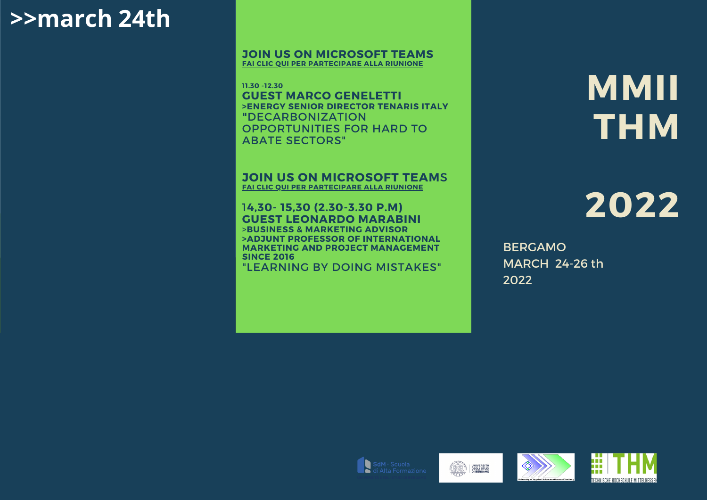### **>>march 24th**

#### **JOIN US ON MICROSOFT TEAMS FAI CLIC QUI PER [PARTECIPARE](https://teams.microsoft.com/l/meetup-join/19%3ameeting_YjJjMmRhNWUtM2Y3OC00ZGRmLWFmMzctYzkyYjNlY2Q1ODE1%40thread.v2/0?context=%7b%22Tid%22%3a%224f0132f7-dd79-424c-9089-b22764c40ebd%22%2c%22Oid%22%3a%224539a3f6-c8cf-43ae-9b99-8e9c6d052160%22%7d) ALLA RIUNIONE**

1**1.30 -12.30 GUEST MARCO GENELETTI >ENERGY SENIOR DIRECTOR TENARIS ITALY "**DECARBONIZATION OPPORTUNITIES FOR HARD TO ABATE SECTORS"

**JOIN US ON MICROSOFT TEAM**S **FAI CLIC QUI PER [PARTECIPARE](https://teams.microsoft.com/l/meetup-join/19%3ameeting_YjJjMmRhNWUtM2Y3OC00ZGRmLWFmMzctYzkyYjNlY2Q1ODE1%40thread.v2/0?context=%7b%22Tid%22%3a%224f0132f7-dd79-424c-9089-b22764c40ebd%22%2c%22Oid%22%3a%224539a3f6-c8cf-43ae-9b99-8e9c6d052160%22%7d) ALLA RIUNIONE**

#### 1**4,30- 15,30 (2.30-3.30 P.M) GUEST LEONARDO MARABINI** >**BUSINESS & MARKETING ADVISOR**

**>ADJUNT PROFESSOR OF INTERNATIONAL MARKETING AND PROJECT MANAGEMENT SINCE 2016**

"LEARNING BY DOING MISTAKES"

**MMII THM**

## **2022**

BERGAMO MARCH 24-26 th 2022